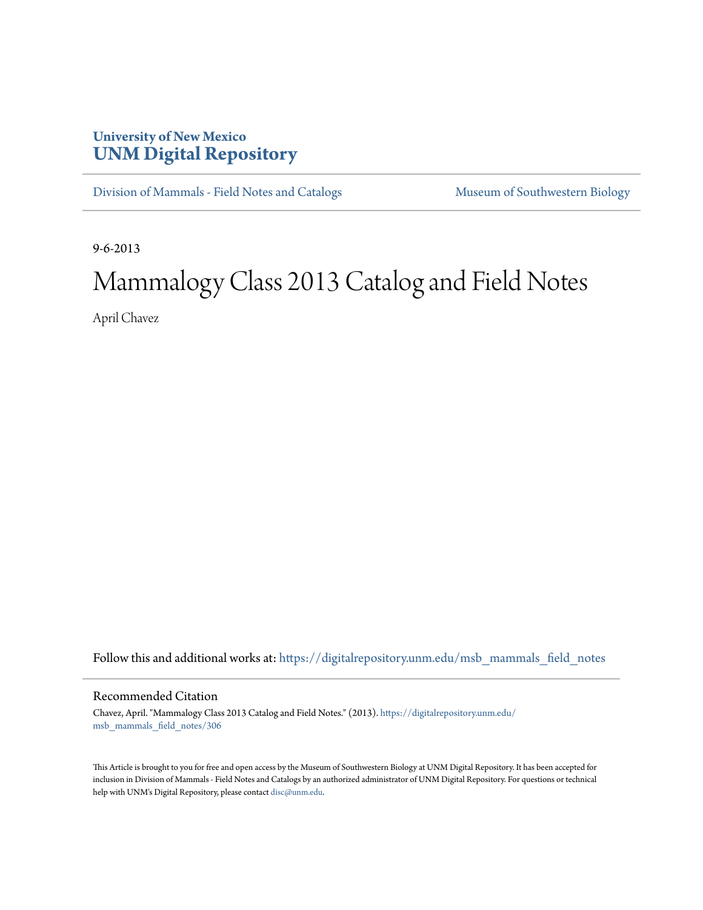## **University of New Mexico [UNM Digital Repository](https://digitalrepository.unm.edu?utm_source=digitalrepository.unm.edu%2Fmsb_mammals_field_notes%2F306&utm_medium=PDF&utm_campaign=PDFCoverPages)**

[Division of Mammals - Field Notes and Catalogs](https://digitalrepository.unm.edu/msb_mammals_field_notes?utm_source=digitalrepository.unm.edu%2Fmsb_mammals_field_notes%2F306&utm_medium=PDF&utm_campaign=PDFCoverPages) [Museum of Southwestern Biology](https://digitalrepository.unm.edu/msb?utm_source=digitalrepository.unm.edu%2Fmsb_mammals_field_notes%2F306&utm_medium=PDF&utm_campaign=PDFCoverPages)

9-6-2013

## Mammalogy Class 2013 Catalog and Field Notes

April Chavez

Follow this and additional works at: [https://digitalrepository.unm.edu/msb\\_mammals\\_field\\_notes](https://digitalrepository.unm.edu/msb_mammals_field_notes?utm_source=digitalrepository.unm.edu%2Fmsb_mammals_field_notes%2F306&utm_medium=PDF&utm_campaign=PDFCoverPages)

## Recommended Citation

Chavez, April. "Mammalogy Class 2013 Catalog and Field Notes." (2013). [https://digitalrepository.unm.edu/](https://digitalrepository.unm.edu/msb_mammals_field_notes/306?utm_source=digitalrepository.unm.edu%2Fmsb_mammals_field_notes%2F306&utm_medium=PDF&utm_campaign=PDFCoverPages) [msb\\_mammals\\_field\\_notes/306](https://digitalrepository.unm.edu/msb_mammals_field_notes/306?utm_source=digitalrepository.unm.edu%2Fmsb_mammals_field_notes%2F306&utm_medium=PDF&utm_campaign=PDFCoverPages)

This Article is brought to you for free and open access by the Museum of Southwestern Biology at UNM Digital Repository. It has been accepted for inclusion in Division of Mammals - Field Notes and Catalogs by an authorized administrator of UNM Digital Repository. For questions or technical help with UNM's Digital Repository, please contact [disc@unm.edu](mailto:disc@unm.edu).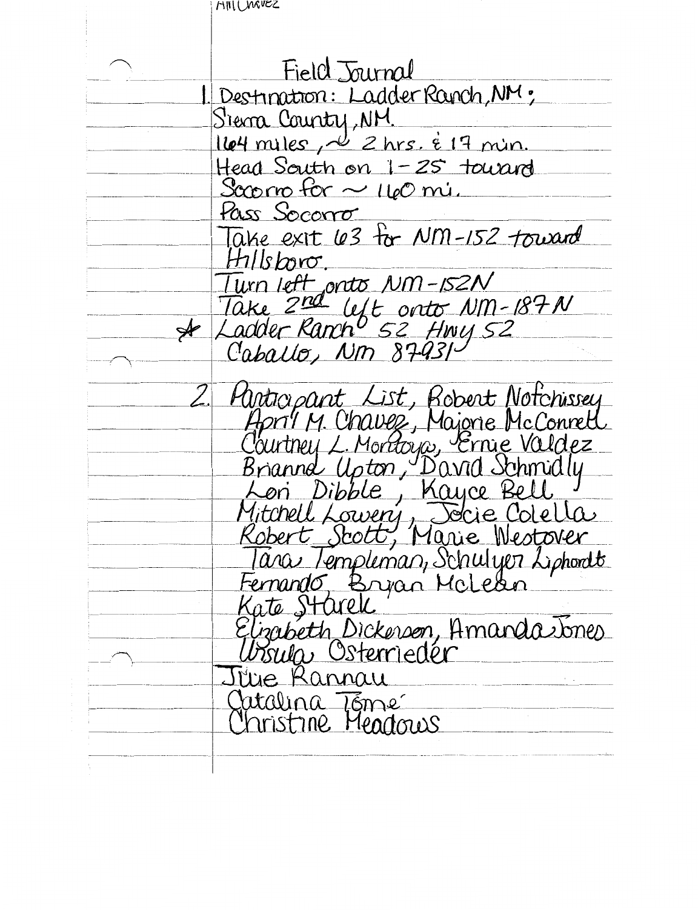| <b>MILL MOVEZ</b>                                                                         |
|-------------------------------------------------------------------------------------------|
|                                                                                           |
|                                                                                           |
| Field Journal                                                                             |
| Destination: Ladder Ranch, NM;                                                            |
| Sierra County, NM.                                                                        |
| 164 miles, $\frac{1}{2}$ hrs. $\frac{1}{2}$ 17 min.                                       |
| Head South on 1-25 toward                                                                 |
| Scorro for $\sim$ 140 mi.                                                                 |
| Pass Socorro                                                                              |
| Take exit 63 for NM-152 toward                                                            |
| $Hilshor$ .                                                                               |
|                                                                                           |
| Turn left onto NM-152N<br>Take 2nd left onto NM-187 N<br>Ladder Ranch 52 Hwy 52           |
| Caballo, Nm 87-931.                                                                       |
|                                                                                           |
| Hartro, pant List, Robert Notchissey                                                      |
| April M. Chavee, Majorie McConrett                                                        |
|                                                                                           |
| Courtney L. Montaya, Ernie Valdez<br>Brianne Upton, David Schmidly                        |
| Lori Dibble, Kayce Bell<br>Mitchell Lowery, Jocie Colella<br>Robert Scott, Marie Westover |
|                                                                                           |
|                                                                                           |
| Tâna Templeman, Schulyer Liphondt<br>Fernando, Bryan McLean<br>Kate Starek                |
|                                                                                           |
|                                                                                           |
| Elizabeth Dickerson, Amanda Jones<br>Ursula Osterrieder                                   |
|                                                                                           |
| Türe Rannau                                                                               |
| Iatalina Téme                                                                             |
| Thristine Meadows                                                                         |
|                                                                                           |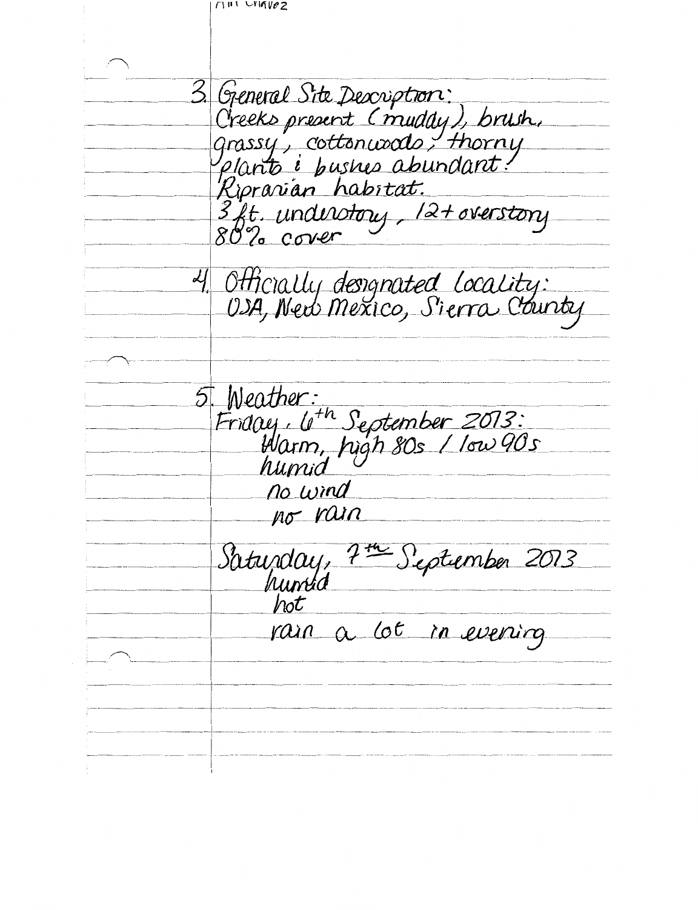$T$  $W$   $V$  $R$  $R$  $R$  $R$ 3. General Site Description: Creeks present (muday), brush,<br>grassy, cottonwede, thorny<br>plants i bushes abundant! Riprarian habitat. 3 ft. understory, 12+ overstory 80% cover 4 Officially designated locality:<br>USA, New Mexico, Sierra County 5. Weather: Friday, le<sup>+h</sup> September 2013:<br>Harm, high 80s / Iow 90s humid no wind no rain Saturday, 7<sup>th S</sup>eptember 2013 hot rain a lot in evening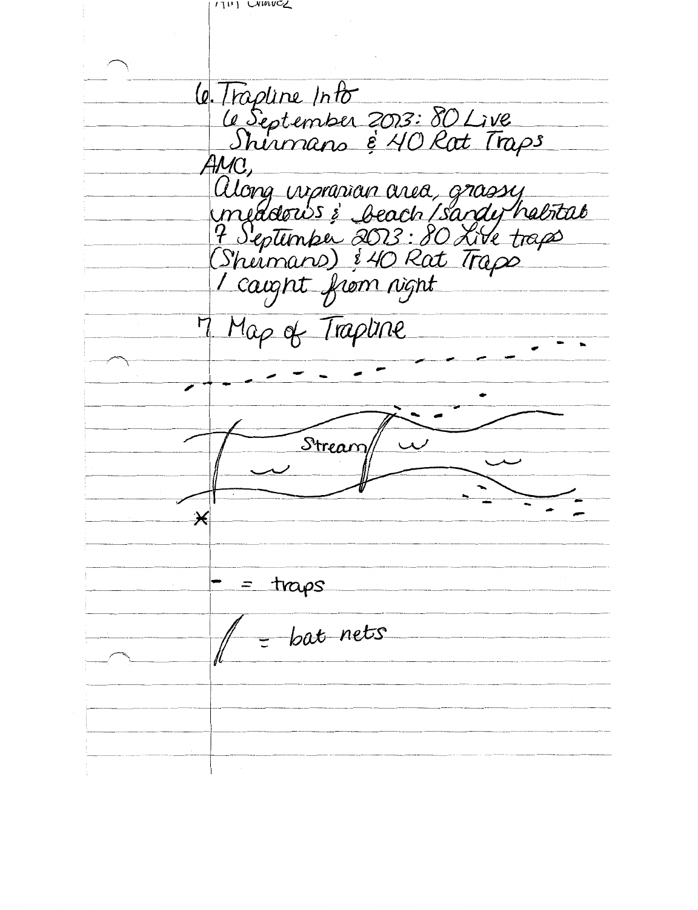$711$  WINDEZ le Traptine Info<br>Le September 2013: 80 Live<br>Shirmans è 40 Rat Traps AMC, along urprarian area, grassy<br>uneddows : beach /sandy hebitat<br>7 Septimber 2013: 80 Live traps<br>(Shermans) : 40 Rat Traps caight from night Map of Trapane ۲ Stream Ӿ traps Ξ bat nets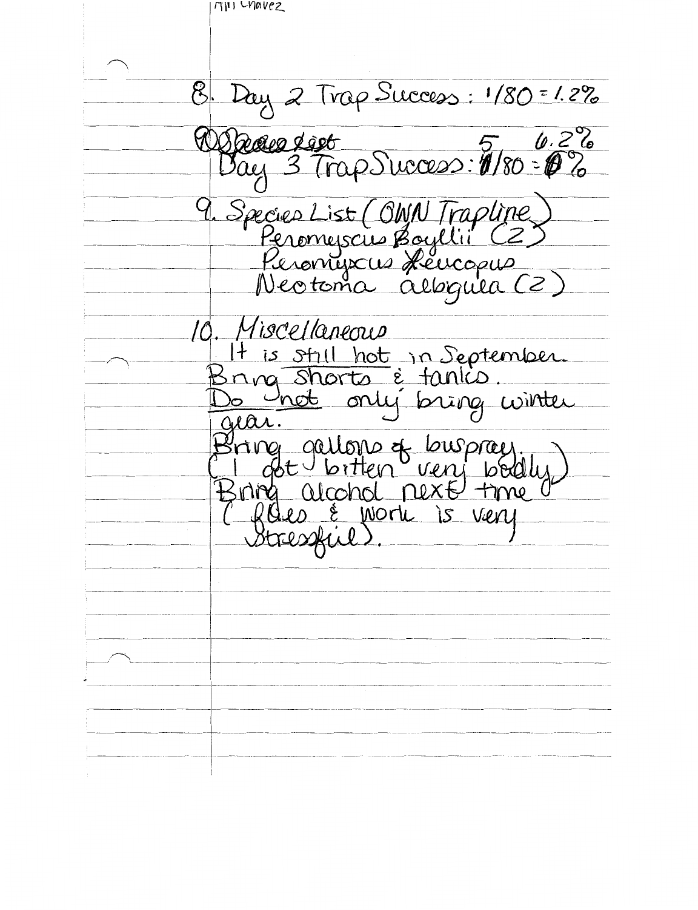$T[1]$  Wavez Day 2 Trap Success: 1/80 = 1.2% රි res digt<br>1 3 Trap Success: 1/80 = 0 % 9. Spécies List (OMN Trapline)<br>Peromyscus Boyllii (2)<br>Peromyscus Aeucopus<br>Neotoma albywa (2) Miscellaneous is still hot in September.<br>og Shorts è tanks. nna hot only bring winter Gear gallon Louspray <u>t v bitten "ven</u>j bedlu<br>Qloohol next time <u>J bitten</u> blue é voir ÌS Ven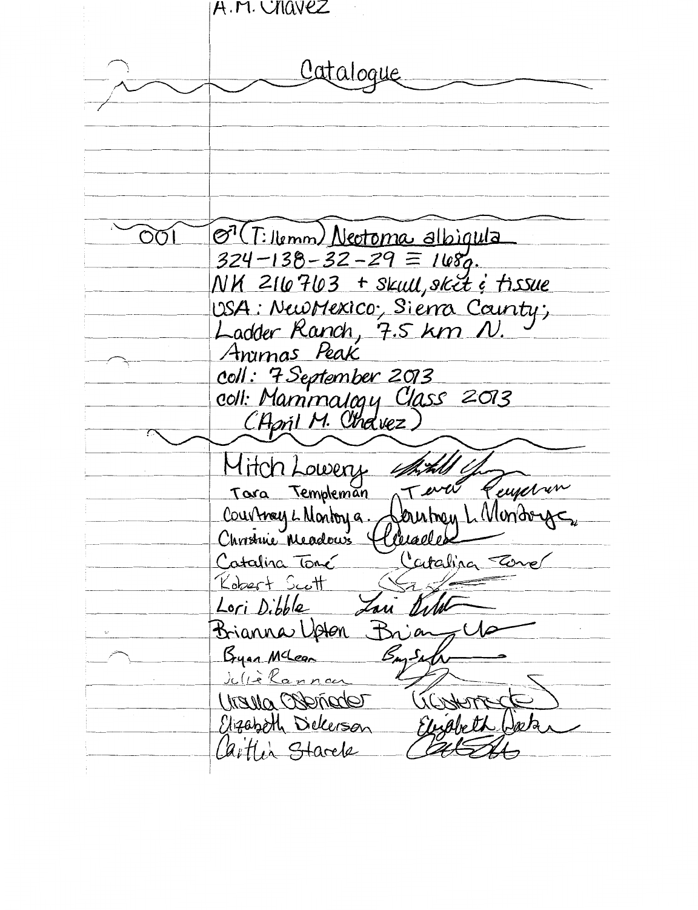A.M. VIIAVEZ Catalogue  $\mathcal{O}^7(T:$ llemm) Neotoma albiquia  $O(1)$  $324 - 138 - 32 - 29 \equiv 108a$ . NK 216763 + skull, skit i tissue USA: New Mexico, Sierra County; Ladder Ranch, 7.5 km N Animas Peak coll: 7 September 2013 coll: Mammalagy Class 2013 owers Reuperen Tara Templeman Courtney L Montoy a autou L Vlonder Christine Meadows Cataliza Tomé Catalina Erre Kobert Scott Lori Dibble Brianna Upton Byan McLean Ban-Sa <u>Jeliè Ranna</u>  $(1604$ Ursula Osternador Elizabeth Dielerson Elisabe Cartlin Stacele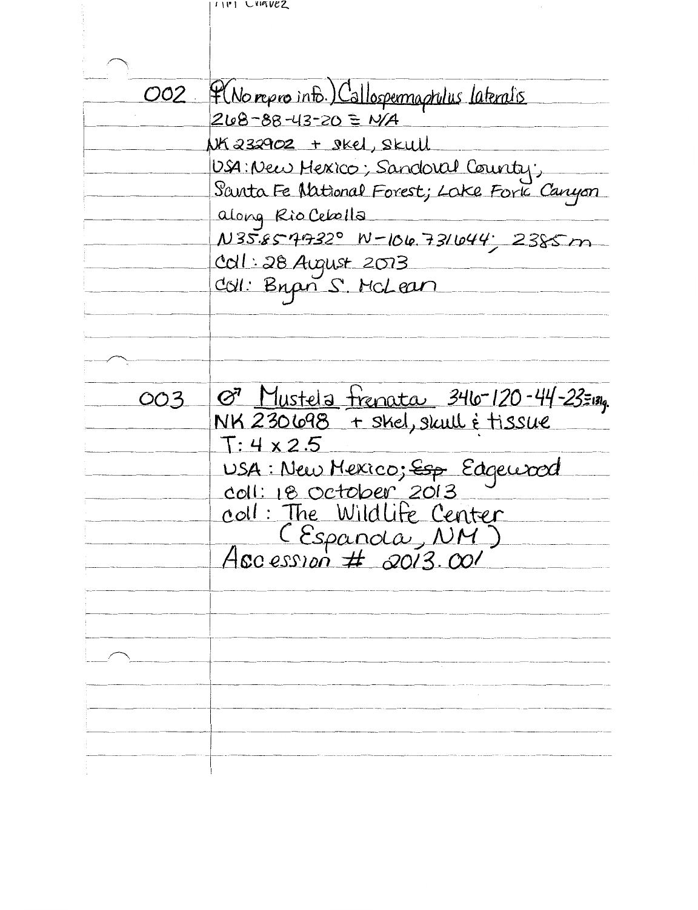|     | $111$ CVAVEZ                                                        |
|-----|---------------------------------------------------------------------|
|     |                                                                     |
|     |                                                                     |
|     | 002 P(Norepro into.) Callospermaptulus lateralis                    |
|     | 268-88-43-20 = N/A                                                  |
|     | UK232902 + Skel, Skull                                              |
|     | USA: New Hexico; Sandoral County;                                   |
|     | Santa Fe National Forest; Lake Fork Canyon<br>along Rio Cebolla     |
|     | $N35.8599320$ $N-106.731644$ ; 2385m                                |
|     | Coll: 28 August 2013                                                |
|     | Coll: Binan S. McLean                                               |
|     |                                                                     |
|     |                                                                     |
|     |                                                                     |
| 003 | 07 Mustela Frenata 346-120-44-23=181g.                              |
|     | NK 230698 + skel, skull è tissue                                    |
|     | $T:4\times2.5$                                                      |
|     | USA: New Mexico; Esp Edgewood                                       |
|     | coll: 18 October 2013                                               |
|     | coll: The Wildlife Center<br>(Espanola, NM)<br>Ascession # 2013.001 |
|     |                                                                     |
|     |                                                                     |
|     |                                                                     |
|     |                                                                     |
|     |                                                                     |
|     |                                                                     |
|     |                                                                     |
|     |                                                                     |
|     |                                                                     |
|     |                                                                     |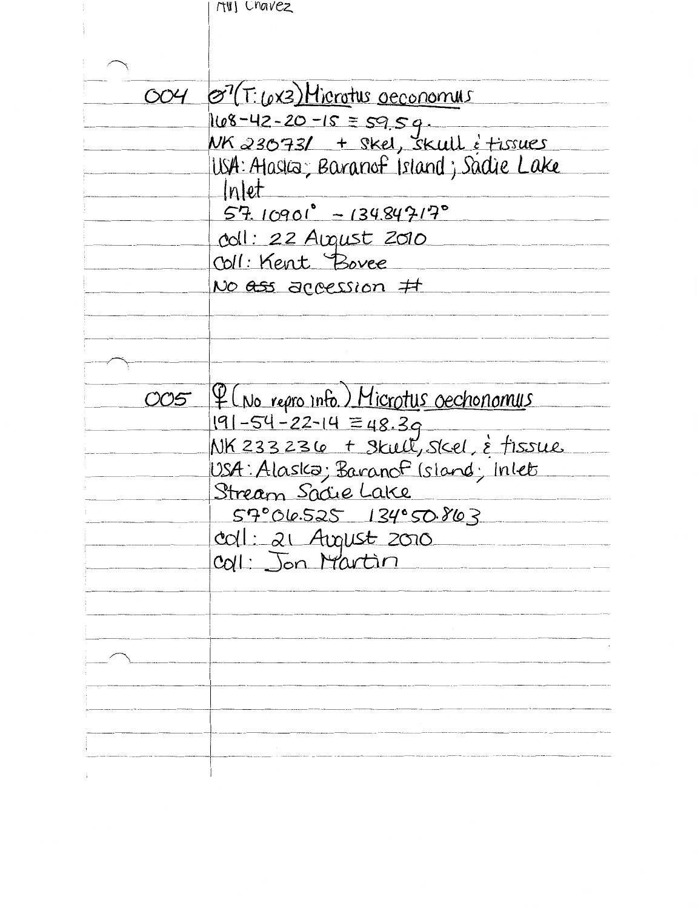|     | MII Chavez                                                 |
|-----|------------------------------------------------------------|
|     |                                                            |
|     |                                                            |
|     |                                                            |
|     | 004 07 (T: Lex3) Hicrotus geconomus                        |
|     | 168-42-20-15 = 59.59.<br>NK 23073/ + Skel, skull & tissues |
|     |                                                            |
|     | USA: Alaska; Baranof Island; Sadie Lake                    |
|     | Intet                                                      |
|     | $57.10901^{\circ} - 134.84717^{\circ}$                     |
|     | coll: 22 August 2010                                       |
|     | Coll: Kent Bovee                                           |
|     | No ass accession #                                         |
|     |                                                            |
|     |                                                            |
|     |                                                            |
|     |                                                            |
| 005 | $\Psi$ (No repro info.) Microtus oechonomus                |
|     | $191 - 54 - 22 - 14 \equiv 48.39$                          |
|     | NK 233236 + Skult, Skel, è fissue                          |
|     | USA: Alaska; Baranof (sland; Inlet                         |
|     | Stream Sacue Lake                                          |
|     | 57°06.525 134°50.863                                       |
|     | coll: 21 August 2010                                       |
|     | cal: Jon Martin                                            |
|     |                                                            |
|     |                                                            |
|     |                                                            |
|     |                                                            |
|     |                                                            |
|     |                                                            |
|     |                                                            |
|     |                                                            |
|     |                                                            |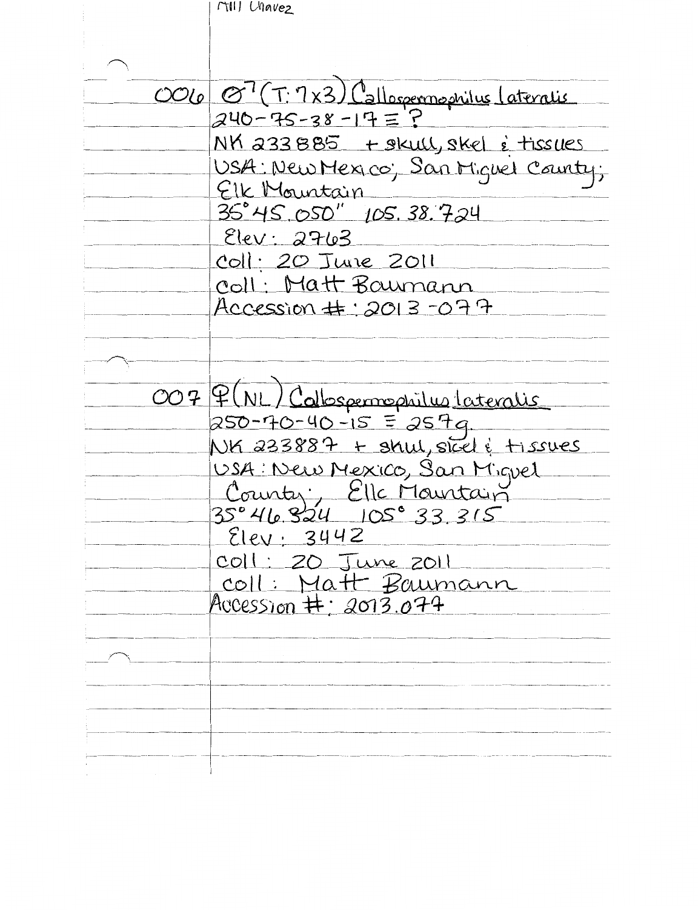| MII Unavez                                              |
|---------------------------------------------------------|
|                                                         |
|                                                         |
|                                                         |
| 006 O <sup>7</sup> (T: 7x3) Callospermaphilus Lateralis |
| $240 - 75 - 38 - 17 \equiv ?$                           |
| NK 233885 + skull, skel i tissues                       |
| USA: New Mexico, San Miguel County;                     |
| Elk Mountain                                            |
| 35°45 OSD" 105.38.724                                   |
| Elev: 2763                                              |
| $Coll \cdot 20$ Jure 2011                               |
| coll: Matt Bournann                                     |
| Accession #: 2013-077                                   |
|                                                         |
|                                                         |
|                                                         |
| 007 P(NL) Calospermophilus lateralis                    |
| $250 - 70 - 40 - 15 = 2579$                             |
| NK 233887 + skul, skel & tissues                        |
| USA: New Mexico, San Miguel                             |
| County: Elle Mauritain                                  |
|                                                         |
| Elev: 3442                                              |
| CO1: 20 June 2011                                       |
| coll: Matt Baumann                                      |
| Accession $\texttt{\#}$ : 2013.074                      |
|                                                         |
|                                                         |
|                                                         |
|                                                         |
|                                                         |
|                                                         |
|                                                         |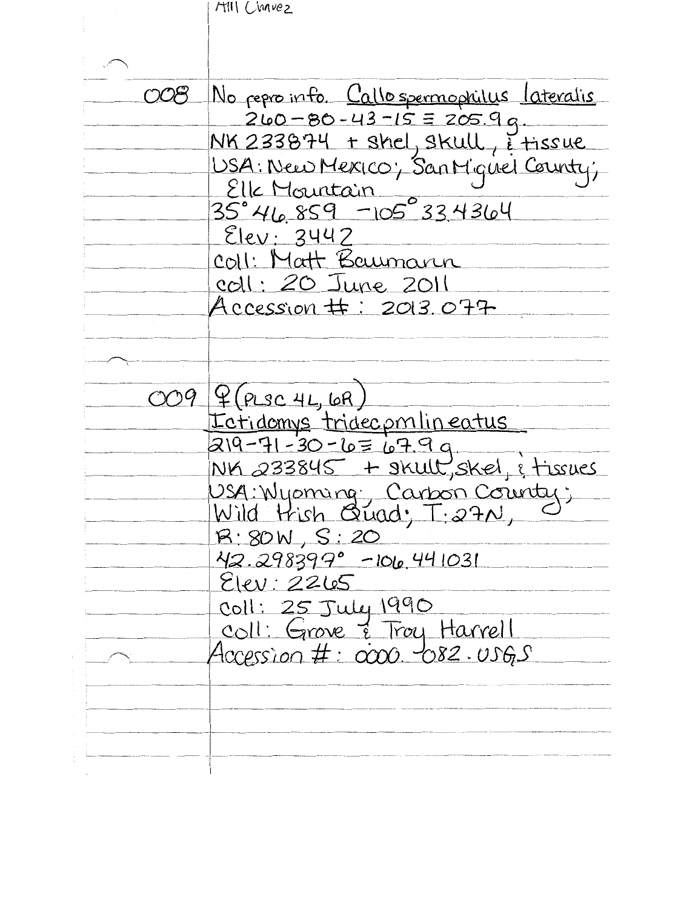| No repro info. Callo spermophilus lateralis<br>$260 - 80 - 43 - 15 = 205.99$<br>NK 233874 + shel, skull, i tissue<br>USA: New Mexico; San Miguel County;<br>Elle Mountain<br>35°46.859 -105°33.4364<br>Elev: 3442 |
|-------------------------------------------------------------------------------------------------------------------------------------------------------------------------------------------------------------------|
|                                                                                                                                                                                                                   |
|                                                                                                                                                                                                                   |
|                                                                                                                                                                                                                   |
|                                                                                                                                                                                                                   |
|                                                                                                                                                                                                                   |
|                                                                                                                                                                                                                   |
|                                                                                                                                                                                                                   |
|                                                                                                                                                                                                                   |
| Coll: Matt Beumann                                                                                                                                                                                                |
| coll: 20 June 2011                                                                                                                                                                                                |
| Accession $#$ : 2013.077                                                                                                                                                                                          |
|                                                                                                                                                                                                                   |
|                                                                                                                                                                                                                   |
|                                                                                                                                                                                                                   |
| $CO9$ $9$ (PLSC 4L, 6R                                                                                                                                                                                            |
| <u>Ictidomys tridecprolineatus</u><br>$219 - 71 - 30 - 6 = 67.99$                                                                                                                                                 |
| NK 233845 + $skult, skel, i$ tissues                                                                                                                                                                              |
|                                                                                                                                                                                                                   |
| Usa: Wyomang, Carbon County;<br>Wild trish Quad; T:27N,                                                                                                                                                           |
| R:80W, S:20                                                                                                                                                                                                       |
| 42.298399° -106.441031                                                                                                                                                                                            |
| Elev:2265                                                                                                                                                                                                         |
| coll: 25 July 1990                                                                                                                                                                                                |
| coll: Grove & Troy Harvell                                                                                                                                                                                        |
| Accession $#: coco. 682.056S$                                                                                                                                                                                     |
|                                                                                                                                                                                                                   |
|                                                                                                                                                                                                                   |
|                                                                                                                                                                                                                   |
|                                                                                                                                                                                                                   |